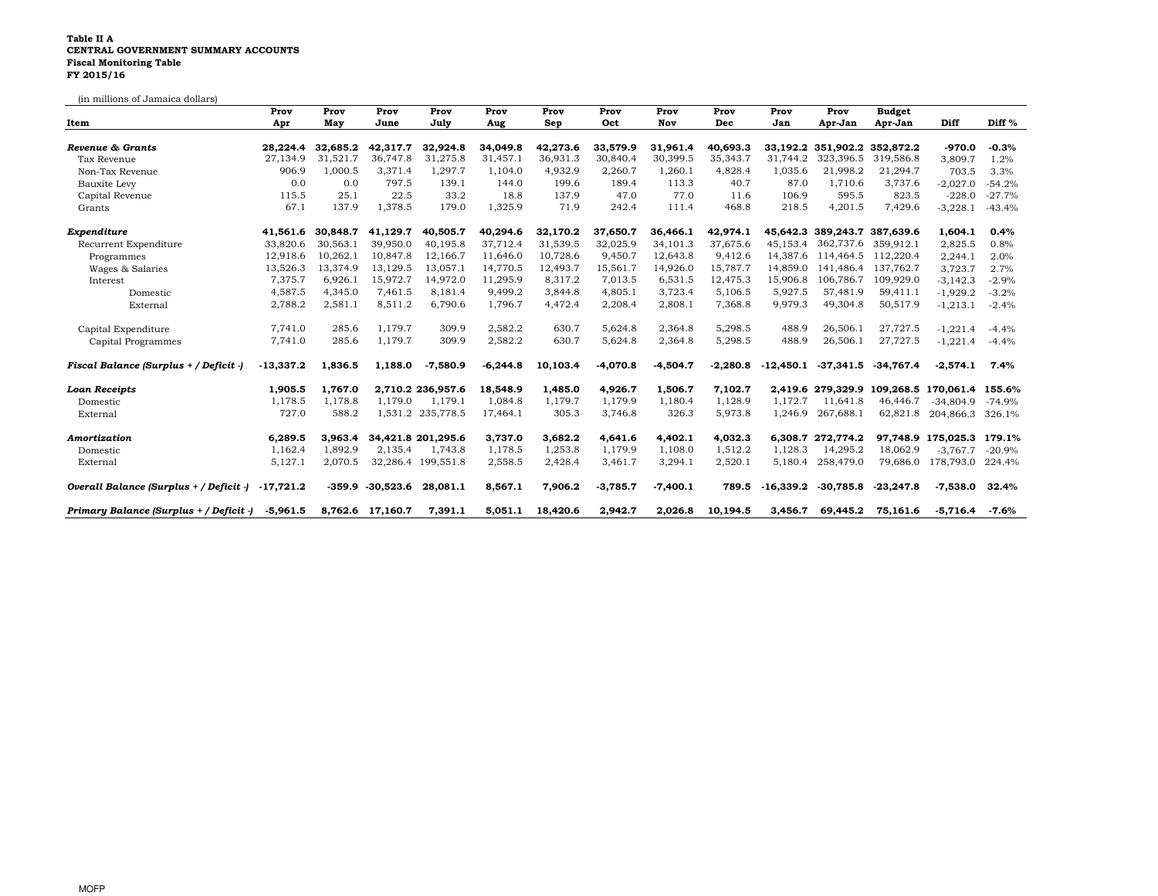## Table II A CENTRAL GOVERNMENT SUMMARY ACCOUNTS Fiscal Monitoring TableFY 2015/16

(in millions of Jamaica dollars)

| ni miinono oi oumuud uomu o                  | Prov        | Prov     | Prov                | Prov               | Prov       | Prov     | Prov       | Prov       | Prov       | Prov        | Prov                         | <b>Budget</b> |                                              |                   |
|----------------------------------------------|-------------|----------|---------------------|--------------------|------------|----------|------------|------------|------------|-------------|------------------------------|---------------|----------------------------------------------|-------------------|
| Item                                         | Apr         | May      | June                | July               | Aug        | Sep      | Oct        | Nov        | Dec        | Jan         | Apr-Jan                      | Apr-Jan       | Diff                                         | Diff <sup>%</sup> |
| Revenue & Grants                             | 28.224.4    | 32.685.2 | 42,317.7            | 32,924.8           | 34,049.8   | 42,273.6 | 33,579.9   | 31,961.4   | 40,693.3   | 33,192.2    | 351.902.2 352.872.2          |               | $-970.0$                                     | $-0.3%$           |
| Tax Revenue                                  | 27.134.9    | 31.521.7 | 36,747.8            | 31,275.8           | 31,457.1   | 36,931.3 | 30,840.4   | 30,399.5   | 35,343.7   | 31,744.2    | 323,396.5                    | 319,586.8     | 3.809.7                                      | 1.2%              |
| Non-Tax Revenue                              | 906.9       | 1.000.5  | 3.371.4             | 1,297.7            | 1,104.0    | 4,932.9  | 2,260.7    | 1,260.1    | 4,828.4    | 1,035.6     | 21,998.2                     | 21,294.7      | 703.5                                        | 3.3%              |
| Bauxite Levy                                 | 0.0         | 0.0      | 797.5               | 139.1              | 144.0      | 199.6    | 189.4      | 113.3      | 40.7       | 87.0        | 1,710.6                      | 3,737.6       | $-2,027.0$                                   | $-54.2%$          |
| Capital Revenue                              | 115.5       | 25.1     | 22.5                | 33.2               | 18.8       | 137.9    | 47.0       | 77.0       | 11.6       | 106.9       | 595.5                        | 823.5         | $-228.0$                                     | $-27.7%$          |
| Grants                                       | 67.1        | 137.9    | 1,378.5             | 179.0              | 1,325.9    | 71.9     | 242.4      | 111.4      | 468.8      | 218.5       | 4,201.5                      | 7,429.6       | $-3,228.1$                                   | $-43.4%$          |
| Expenditure                                  | 41,561.6    | 30.848.7 | 41.129.7            | 40,505.7           | 40,294.6   | 32,170.2 | 37,650.7   | 36,466.1   | 42,974.1   |             | 45,642.3 389,243.7 387,639.6 |               | 1,604.1                                      | 0.4%              |
| Recurrent Expenditure                        | 33,820.6    | 30.563.1 | 39,950.0            | 40.195.8           | 37.712.4   | 31.539.5 | 32,025.9   | 34.101.3   | 37.675.6   | 45.153.4    | 362,737.6                    | 359.912.1     | 2,825.5                                      | 0.8%              |
| Programmes                                   | 12,918.6    | 10,262.1 | 10,847.8            | 12,166.7           | 11,646.0   | 10,728.6 | 9,450.7    | 12,643.8   | 9,412.6    | 14,387.6    | 114,464.5                    | 112,220.4     | 2,244.1                                      | 2.0%              |
| Wages & Salaries                             | 13,526.3    | 13,374.9 | 13,129.5            | 13,057.1           | 14,770.5   | 12,493.7 | 15,561.7   | 14,926.0   | 15,787.7   | 14,859.0    | 141,486.4                    | 137,762.7     | 3,723.7                                      | 2.7%              |
| Interest                                     | 7,375.7     | 6,926.1  | 15,972.7            | 14,972.0           | 11,295.9   | 8,317.2  | 7,013.5    | 6,531.5    | 12,475.3   | 15,906.8    | 106,786.7                    | 109,929.0     | $-3,142.3$                                   | $-2.9%$           |
| Domestic                                     | 4,587.5     | 4.345.0  | 7.461.5             | 8.181.4            | 9.499.2    | 3,844.8  | 4,805.1    | 3,723.4    | 5.106.5    | 5,927.5     | 57.481.9                     | 59,411.1      | $-1,929.2$                                   | $-3.2%$           |
| External                                     | 2,788.2     | 2,581.1  | 8,511.2             | 6,790.6            | 1,796.7    | 4,472.4  | 2,208.4    | 2,808.1    | 7,368.8    | 9,979.3     | 49,304.8                     | 50,517.9      | $-1,213.1$                                   | $-2.4%$           |
| Capital Expenditure                          | 7,741.0     | 285.6    | 1.179.7             | 309.9              | 2,582.2    | 630.7    | 5,624.8    | 2,364.8    | 5,298.5    | 488.9       | 26,506.1                     | 27,727.5      | $-1,221.4$                                   | $-4.4%$           |
| Capital Programmes                           | 7,741.0     | 285.6    | 1.179.7             | 309.9              | 2,582.2    | 630.7    | 5,624.8    | 2,364.8    | 5,298.5    | 488.9       | 26,506.1                     | 27,727.5      | $-1,221.4$                                   | $-4.4%$           |
| Fiscal Balance (Surplus + / Deficit -)       | $-13,337.2$ | 1.836.5  | 1.188.0             | $-7.580.9$         | $-6,244.8$ | 10.103.4 | $-4,070.8$ | $-4.504.7$ | $-2,280.8$ | $-12,450.1$ | $-37,341.5$                  | $-34.767.4$   | $-2.574.1$                                   | 7.4%              |
| <b>Loan Receipts</b>                         | 1.905.5     | 1.767.0  |                     | 2.710.2 236.957.6  | 18,548.9   | 1,485.0  | 4,926.7    | 1.506.7    | 7,102.7    |             |                              |               | 2.419.6 279.329.9 109.268.5 170.061.4 155.6% |                   |
| Domestic                                     | 1.178.5     | 1.178.8  | 1.179.0             | 1.179.1            | 1.084.8    | 1.179.7  | 1,179.9    | 1,180.4    | 1,128.9    | 1,172.7     | 11.641.8                     | 46,446.7      | $-34.804.9$                                  | $-74.9%$          |
| External                                     | 727.0       | 588.2    |                     | 1,531.2 235,778.5  | 17,464.1   | 305.3    | 3,746.8    | 326.3      | 5,973.8    | 1,246.9     | 267,688.1                    | 62,821.8      | 204,866.3                                    | 326.1%            |
| Amortization                                 | 6,289.5     | 3,963.4  |                     | 34,421.8 201,295.6 | 3,737.0    | 3,682.2  | 4,641.6    | 4,402.1    | 4,032.3    | 6,308.7     | 272,774.2                    |               | 97,748.9 175,025.3                           | 179.1%            |
| Domestic                                     | 1,162.4     | 1,892.9  | 2,135.4             | 1,743.8            | 1,178.5    | 1,253.8  | 1,179.9    | 1,108.0    | 1,512.2    | 1,128.3     | 14,295.2                     | 18,062.9      | $-3.767.7$                                   | $-20.9%$          |
| External                                     | 5,127.1     | 2,070.5  |                     | 32,286.4 199,551.8 | 2,558.5    | 2,428.4  | 3,461.7    | 3,294.1    | 2,520.1    | 5,180.4     | 258,479.0                    | 79,686.0      | 178,793.0                                    | 224.4%            |
| Overall Balance (Surplus + / Deficit -)      | $-17,721.2$ |          | $-359.9 - 30.523.6$ | 28,081.1           | 8,567.1    | 7,906.2  | $-3.785.7$ | $-7,400.1$ | 789.5      | $-16,339.2$ | $-30,785.8$                  | $-23,247.8$   | $-7.538.0$                                   | 32.4%             |
| Primary Balance (Surplus $+$ / Deficit $-$ ) | $-5,961.5$  |          | 8,762.6 17,160.7    | 7,391.1            | 5,051.1    | 18,420.6 | 2,942.7    | 2,026.8    | 10,194.5   | 3,456.7     | 69,445.2                     | 75,161.6      | -5.716.4                                     | $-7.6\%$          |